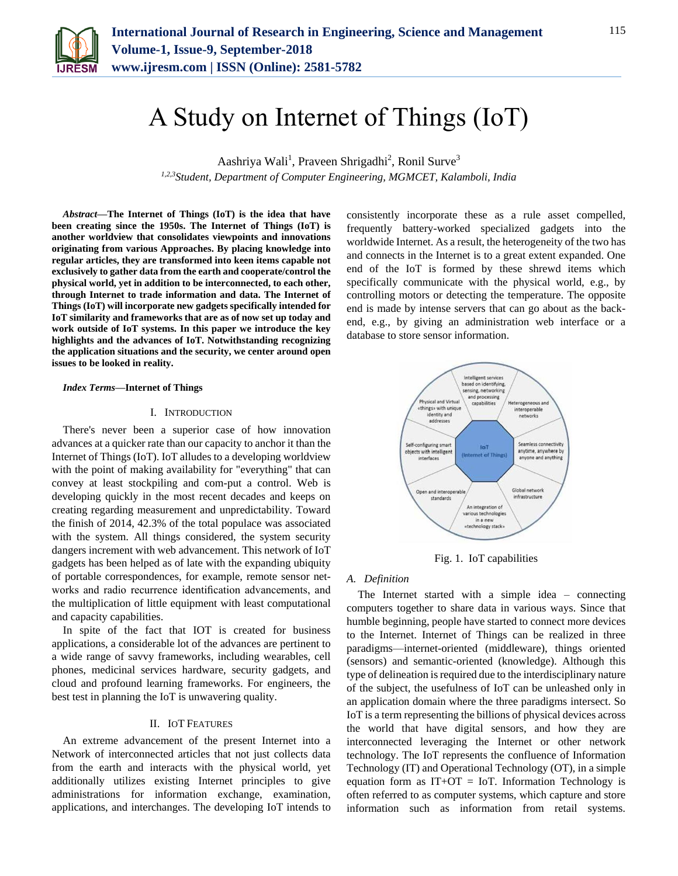

# A Study on Internet of Things (IoT)

Aashriya Wali<sup>1</sup>, Praveen Shrigadhi<sup>2</sup>, Ronil Surve<sup>3</sup> *1,2,3Student, Department of Computer Engineering, MGMCET, Kalamboli, India*

*Abstract***—The Internet of Things (IoT) is the idea that have been creating since the 1950s. The Internet of Things (IoT) is another worldview that consolidates viewpoints and innovations originating from various Approaches. By placing knowledge into regular articles, they are transformed into keen items capable not exclusively to gather data from the earth and cooperate/control the physical world, yet in addition to be interconnected, to each other, through Internet to trade information and data. The Internet of Things (IoT) will incorporate new gadgets specifically intended for IoT similarity and frameworks that are as of now set up today and work outside of IoT systems. In this paper we introduce the key highlights and the advances of IoT. Notwithstanding recognizing the application situations and the security, we center around open issues to be looked in reality.**

#### *Index Terms***—Internet of Things**

#### I. INTRODUCTION

There's never been a superior case of how innovation advances at a quicker rate than our capacity to anchor it than the Internet of Things (IoT). IoT alludes to a developing worldview with the point of making availability for "everything" that can convey at least stockpiling and com-put a control. Web is developing quickly in the most recent decades and keeps on creating regarding measurement and unpredictability. Toward the finish of 2014, 42.3% of the total populace was associated with the system. All things considered, the system security dangers increment with web advancement. This network of IoT gadgets has been helped as of late with the expanding ubiquity of portable correspondences, for example, remote sensor networks and radio recurrence identification advancements, and the multiplication of little equipment with least computational and capacity capabilities.

In spite of the fact that IOT is created for business applications, a considerable lot of the advances are pertinent to a wide range of savvy frameworks, including wearables, cell phones, medicinal services hardware, security gadgets, and cloud and profound learning frameworks. For engineers, the best test in planning the IoT is unwavering quality.

#### II. IOT FEATURES

An extreme advancement of the present Internet into a Network of interconnected articles that not just collects data from the earth and interacts with the physical world, yet additionally utilizes existing Internet principles to give administrations for information exchange, examination, applications, and interchanges. The developing IoT intends to consistently incorporate these as a rule asset compelled, frequently battery-worked specialized gadgets into the worldwide Internet. As a result, the heterogeneity of the two has and connects in the Internet is to a great extent expanded. One end of the IoT is formed by these shrewd items which specifically communicate with the physical world, e.g., by controlling motors or detecting the temperature. The opposite end is made by intense servers that can go about as the backend, e.g., by giving an administration web interface or a database to store sensor information.



Fig. 1. IoT capabilities

## *A. Definition*

The Internet started with a simple idea – connecting computers together to share data in various ways. Since that humble beginning, people have started to connect more devices to the Internet. Internet of Things can be realized in three paradigms—internet-oriented (middleware), things oriented (sensors) and semantic-oriented (knowledge). Although this type of delineation is required due to the interdisciplinary nature of the subject, the usefulness of IoT can be unleashed only in an application domain where the three paradigms intersect. So IoT is a term representing the billions of physical devices across the world that have digital sensors, and how they are interconnected leveraging the Internet or other network technology. The IoT represents the confluence of Information Technology (IT) and Operational Technology (OT), in a simple equation form as  $IT+OT = IoT$ . Information Technology is often referred to as computer systems, which capture and store information such as information from retail systems.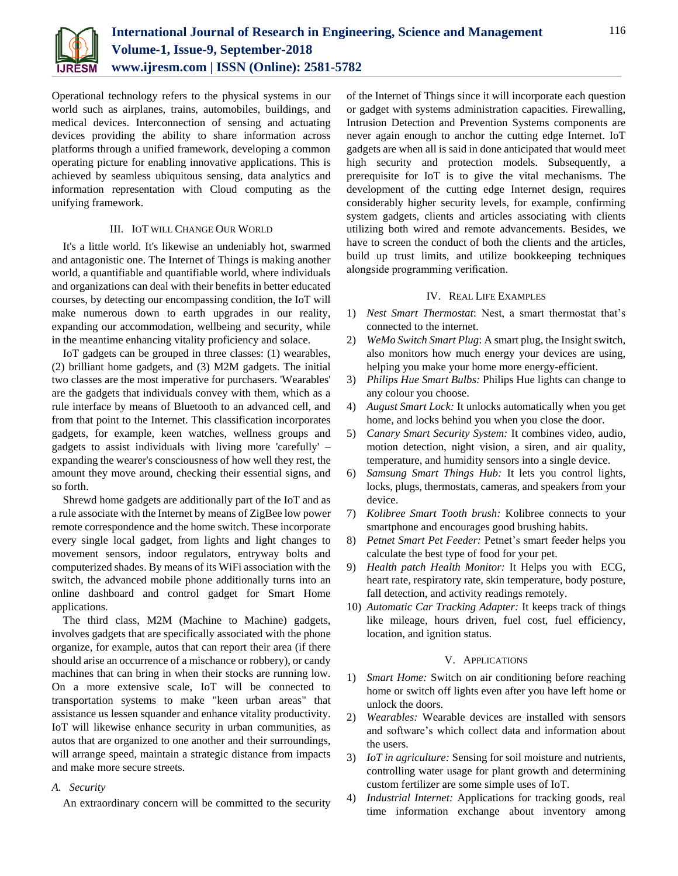

Operational technology refers to the physical systems in our world such as airplanes, trains, automobiles, buildings, and medical devices. Interconnection of sensing and actuating devices providing the ability to share information across platforms through a unified framework, developing a common operating picture for enabling innovative applications. This is achieved by seamless ubiquitous sensing, data analytics and information representation with Cloud computing as the unifying framework.

## III. IOT WILL CHANGE OUR WORLD

It's a little world. It's likewise an undeniably hot, swarmed and antagonistic one. The Internet of Things is making another world, a quantifiable and quantifiable world, where individuals and organizations can deal with their benefits in better educated courses, by detecting our encompassing condition, the IoT will make numerous down to earth upgrades in our reality, expanding our accommodation, wellbeing and security, while in the meantime enhancing vitality proficiency and solace.

IoT gadgets can be grouped in three classes: (1) wearables, (2) brilliant home gadgets, and (3) M2M gadgets. The initial two classes are the most imperative for purchasers. 'Wearables' are the gadgets that individuals convey with them, which as a rule interface by means of Bluetooth to an advanced cell, and from that point to the Internet. This classification incorporates gadgets, for example, keen watches, wellness groups and gadgets to assist individuals with living more 'carefully' – expanding the wearer's consciousness of how well they rest, the amount they move around, checking their essential signs, and so forth.

Shrewd home gadgets are additionally part of the IoT and as a rule associate with the Internet by means of ZigBee low power remote correspondence and the home switch. These incorporate every single local gadget, from lights and light changes to movement sensors, indoor regulators, entryway bolts and computerized shades. By means of its WiFi association with the switch, the advanced mobile phone additionally turns into an online dashboard and control gadget for Smart Home applications.

The third class, M2M (Machine to Machine) gadgets, involves gadgets that are specifically associated with the phone organize, for example, autos that can report their area (if there should arise an occurrence of a mischance or robbery), or candy machines that can bring in when their stocks are running low. On a more extensive scale, IoT will be connected to transportation systems to make "keen urban areas" that assistance us lessen squander and enhance vitality productivity. IoT will likewise enhance security in urban communities, as autos that are organized to one another and their surroundings, will arrange speed, maintain a strategic distance from impacts and make more secure streets.

#### *A. Security*

An extraordinary concern will be committed to the security

of the Internet of Things since it will incorporate each question or gadget with systems administration capacities. Firewalling, Intrusion Detection and Prevention Systems components are never again enough to anchor the cutting edge Internet. IoT gadgets are when all is said in done anticipated that would meet high security and protection models. Subsequently, a prerequisite for IoT is to give the vital mechanisms. The development of the cutting edge Internet design, requires considerably higher security levels, for example, confirming system gadgets, clients and articles associating with clients utilizing both wired and remote advancements. Besides, we have to screen the conduct of both the clients and the articles, build up trust limits, and utilize bookkeeping techniques alongside programming verification.

### IV. REAL LIFE EXAMPLES

- 1) *Nest Smart Thermostat*: Nest, a smart thermostat that's connected to the internet.
- 2) *WeMo Switch Smart Plug*: A smart plug, the Insight switch, also monitors how much energy your devices are using, helping you make your home more energy-efficient.
- 3) *Philips Hue Smart Bulbs:* Philips Hue lights can change to any colour you choose.
- 4) *August Smart Lock:* It unlocks automatically when you get home, and locks behind you when you close the door.
- 5) *Canary Smart Security System:* It combines video, audio, motion detection, night vision, a siren, and air quality, temperature, and humidity sensors into a single device.
- 6) *Samsung Smart Things Hub:* It lets you control lights, locks, plugs, thermostats, cameras, and speakers from your device.
- 7) *Kolibree Smart Tooth brush:* Kolibree connects to your smartphone and encourages good brushing habits.
- 8) *Petnet Smart Pet Feeder:* Petnet's smart feeder helps you calculate the best type of food for your pet.
- 9) *Health patch Health Monitor:* It Helps you with ECG, heart rate, respiratory rate, skin temperature, body posture, fall detection, and activity readings remotely.
- 10) *Automatic Car Tracking Adapter:* It keeps track of things like mileage, hours driven, fuel cost, fuel efficiency, location, and ignition status.

## V. APPLICATIONS

- 1) *Smart Home:* Switch on air conditioning before reaching home or switch off lights even after you have left home or unlock the doors.
- 2) *Wearables:* Wearable devices are installed with sensors and software's which collect data and information about the users.
- 3) *IoT in agriculture:* Sensing for soil moisture and nutrients, controlling water usage for plant growth and determining custom fertilizer are some simple uses of IoT.
- 4) *Industrial Internet:* Applications for tracking goods, real time information exchange about inventory among